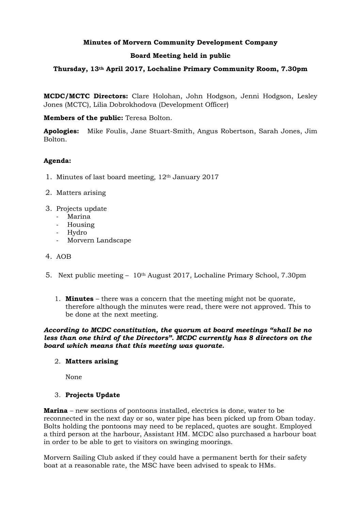# **Minutes of Morvern Community Development Company**

# **Board Meeting held in public**

# **Thursday, 13th April 2017, Lochaline Primary Community Room, 7.30pm**

**MCDC/MCTC Directors:** Clare Holohan, John Hodgson, Jenni Hodgson, Lesley Jones (MCTC), Lilia Dobrokhodova (Development Officer)

**Members of the public:** Teresa Bolton.

**Apologies:** Mike Foulis, Jane Stuart-Smith, Angus Robertson, Sarah Jones, Jim Bolton.

## **Agenda:**

- 1. Minutes of last board meeting, 12th January 2017
- 2. Matters arising
- 3. Projects update
	- Marina
	- Housing
	- Hydro
	- Morvern Landscape
- 4. AOB
- 5. Next public meeting  $-10$ <sup>th</sup> August 2017, Lochaline Primary School, 7.30pm
	- 1. **Minutes** there was a concern that the meeting might not be quorate, therefore although the minutes were read, there were not approved. This to be done at the next meeting.

#### *According to MCDC constitution, the quorum at board meetings "shall be no less than one third of the Directors". MCDC currently has 8 directors on the board which means that this meeting was quorate.*

## 2. **Matters arising**

None

## 3. **Projects Update**

**Marina** – new sections of pontoons installed, electrics is done, water to be reconnected in the next day or so, water pipe has been picked up from Oban today. Bolts holding the pontoons may need to be replaced, quotes are sought. Employed a third person at the harbour, Assistant HM. MCDC also purchased a harbour boat in order to be able to get to visitors on swinging moorings.

Morvern Sailing Club asked if they could have a permanent berth for their safety boat at a reasonable rate, the MSC have been advised to speak to HMs.